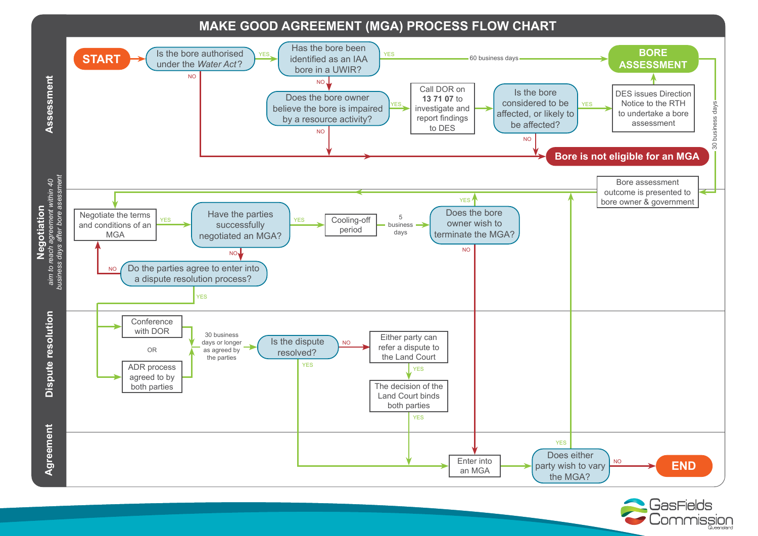## **MAKE GOOD AGREEMENT (MGA) PROCESS FLOW CHART**